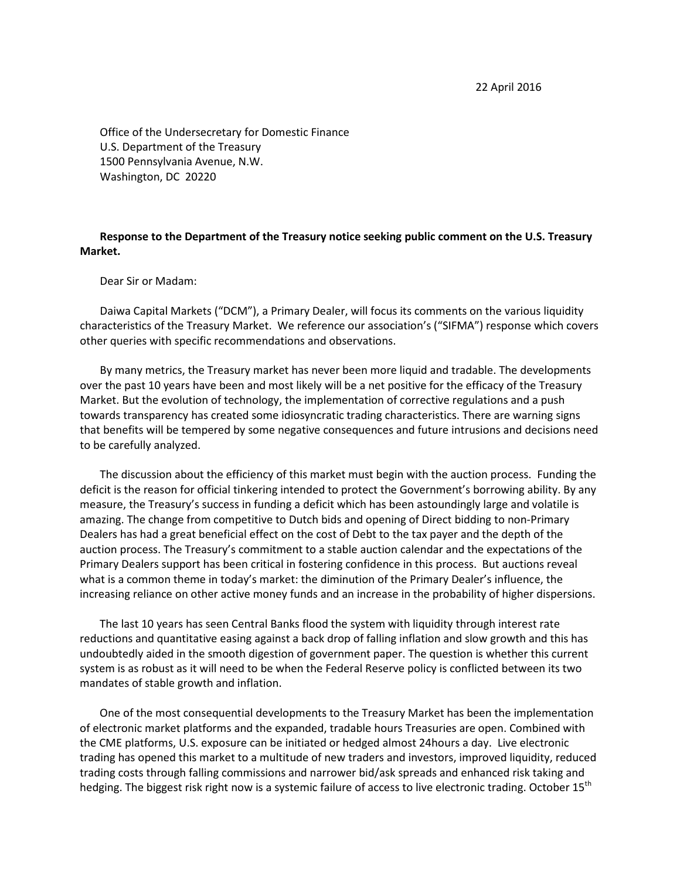22 April 2016

Office of the Undersecretary for Domestic Finance U.S. Department of the Treasury 1500 Pennsylvania Avenue, N.W. Washington, DC 20220

## **Response to the Department of the Treasury notice seeking public comment on the U.S. Treasury Market.**

Dear Sir or Madam:

Daiwa Capital Markets ("DCM"), a Primary Dealer, will focus its comments on the various liquidity characteristics of the Treasury Market. We reference our association's ("SIFMA") response which covers other queries with specific recommendations and observations.

By many metrics, the Treasury market has never been more liquid and tradable. The developments over the past 10 years have been and most likely will be a net positive for the efficacy of the Treasury Market. But the evolution of technology, the implementation of corrective regulations and a push towards transparency has created some idiosyncratic trading characteristics. There are warning signs that benefits will be tempered by some negative consequences and future intrusions and decisions need to be carefully analyzed.

The discussion about the efficiency of this market must begin with the auction process. Funding the deficit is the reason for official tinkering intended to protect the Government's borrowing ability. By any measure, the Treasury's success in funding a deficit which has been astoundingly large and volatile is amazing. The change from competitive to Dutch bids and opening of Direct bidding to non-Primary Dealers has had a great beneficial effect on the cost of Debt to the tax payer and the depth of the auction process. The Treasury's commitment to a stable auction calendar and the expectations of the Primary Dealers support has been critical in fostering confidence in this process. But auctions reveal what is a common theme in today's market: the diminution of the Primary Dealer's influence, the increasing reliance on other active money funds and an increase in the probability of higher dispersions.

The last 10 years has seen Central Banks flood the system with liquidity through interest rate reductions and quantitative easing against a back drop of falling inflation and slow growth and this has undoubtedly aided in the smooth digestion of government paper. The question is whether this current system is as robust as it will need to be when the Federal Reserve policy is conflicted between its two mandates of stable growth and inflation.

One of the most consequential developments to the Treasury Market has been the implementation of electronic market platforms and the expanded, tradable hours Treasuries are open. Combined with the CME platforms, U.S. exposure can be initiated or hedged almost 24hours a day. Live electronic trading has opened this market to a multitude of new traders and investors, improved liquidity, reduced trading costs through falling commissions and narrower bid/ask spreads and enhanced risk taking and hedging. The biggest risk right now is a systemic failure of access to live electronic trading. October 15<sup>th</sup>